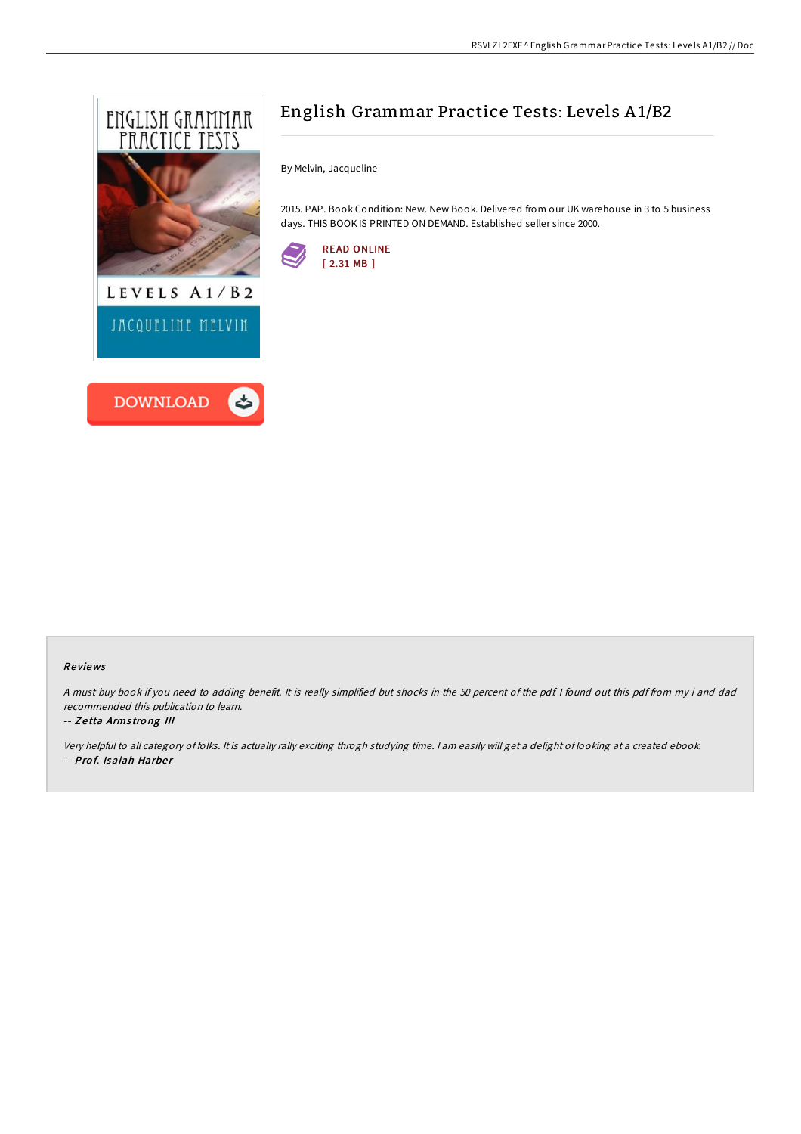



By Melvin, Jacqueline

2015. PAP. Book Condition: New. New Book. Delivered from our UK warehouse in 3 to 5 business days. THIS BOOK IS PRINTED ON DEMAND. Established seller since 2000.



## Re views

<sup>A</sup> must buy book if you need to adding benefit. It is really simplified but shocks in the 50 percent of the pdf. <sup>I</sup> found out this pdf from my i and dad recommended this publication to learn.

### -- Z <sup>e</sup> tta Arms tro ng III

Very helpful to all category of folks. It is actually rally exciting throgh studying time. <sup>I</sup> am easily will get <sup>a</sup> delight of looking at <sup>a</sup> created ebook. -- Prof. Isaiah Harber